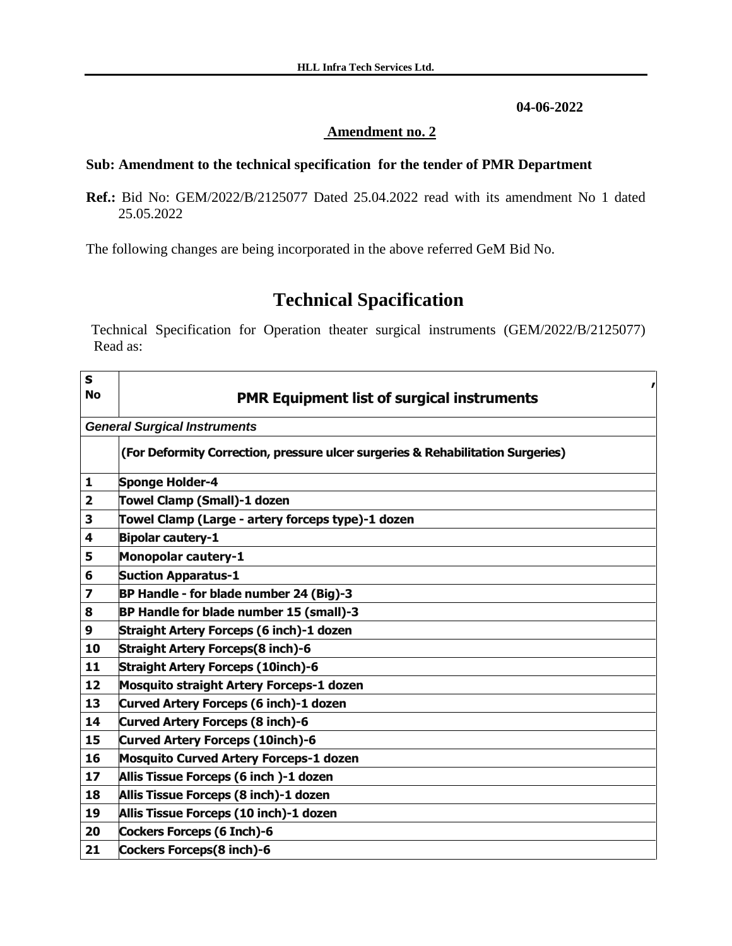## **04-06-2022**

## **Amendment no. 2**

## **Sub: Amendment to the technical specification for the tender of PMR Department**

**Ref.:** Bid No: GEM/2022/B/2125077 Dated 25.04.2022 read with its amendment No 1 dated 25.05.2022

The following changes are being incorporated in the above referred GeM Bid No.

## **Technical Spacification**

Technical Specification for Operation theater surgical instruments (GEM/2022/B/2125077) Read as:

| $\mathbf{s}$<br><b>No</b> | <b>PMR Equipment list of surgical instruments</b>                               |
|---------------------------|---------------------------------------------------------------------------------|
|                           |                                                                                 |
|                           | <b>General Surgical Instruments</b>                                             |
|                           | (For Deformity Correction, pressure ulcer surgeries & Rehabilitation Surgeries) |
| 1                         | <b>Sponge Holder-4</b>                                                          |
| $\overline{\mathbf{2}}$   | Towel Clamp (Small)-1 dozen                                                     |
| 3                         | Towel Clamp (Large - artery forceps type)-1 dozen                               |
| 4                         | <b>Bipolar cautery-1</b>                                                        |
| 5                         | <b>Monopolar cautery-1</b>                                                      |
| 6                         | <b>Suction Apparatus-1</b>                                                      |
| $\overline{\mathbf{z}}$   | BP Handle - for blade number 24 (Big)-3                                         |
| 8                         | BP Handle for blade number 15 (small)-3                                         |
| 9                         | Straight Artery Forceps (6 inch)-1 dozen                                        |
| 10                        | <b>Straight Artery Forceps(8 inch)-6</b>                                        |
| 11                        | <b>Straight Artery Forceps (10inch)-6</b>                                       |
| 12                        | <b>Mosquito straight Artery Forceps-1 dozen</b>                                 |
| 13                        | Curved Artery Forceps (6 inch)-1 dozen                                          |
| 14                        | <b>Curved Artery Forceps (8 inch)-6</b>                                         |
| 15                        | Curved Artery Forceps (10inch)-6                                                |
| 16                        | <b>Mosquito Curved Artery Forceps-1 dozen</b>                                   |
| 17                        | Allis Tissue Forceps (6 inch)-1 dozen                                           |
| 18                        | Allis Tissue Forceps (8 inch)-1 dozen                                           |
| 19                        | Allis Tissue Forceps (10 inch)-1 dozen                                          |
| 20                        | Cockers Forceps (6 Inch)-6                                                      |
| 21                        | Cockers Forceps(8 inch)-6                                                       |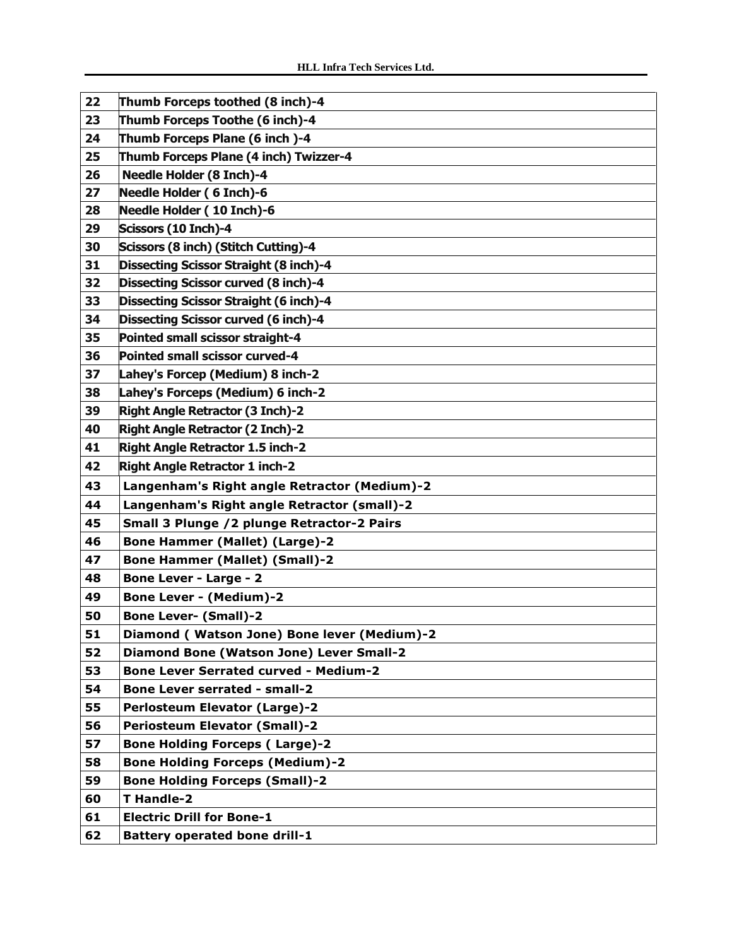| 22 | Thumb Forceps toothed (8 inch)-4                |
|----|-------------------------------------------------|
| 23 | Thumb Forceps Toothe (6 inch)-4                 |
| 24 | Thumb Forceps Plane (6 inch)-4                  |
| 25 | Thumb Forceps Plane (4 inch) Twizzer-4          |
| 26 | <b>Needle Holder (8 Inch)-4</b>                 |
| 27 | Needle Holder (6 Inch)-6                        |
| 28 | Needle Holder (10 Inch)-6                       |
| 29 | Scissors (10 Inch)-4                            |
| 30 | Scissors (8 inch) (Stitch Cutting)-4            |
| 31 | Dissecting Scissor Straight (8 inch)-4          |
| 32 | <b>Dissecting Scissor curved (8 inch)-4</b>     |
|    |                                                 |
| 33 | Dissecting Scissor Straight (6 inch)-4          |
| 34 | <b>Dissecting Scissor curved (6 inch)-4</b>     |
| 35 | Pointed small scissor straight-4                |
| 36 | Pointed small scissor curved-4                  |
| 37 | Lahey's Forcep (Medium) 8 inch-2                |
| 38 | Lahey's Forceps (Medium) 6 inch-2               |
| 39 | <b>Right Angle Retractor (3 Inch)-2</b>         |
| 40 | <b>Right Angle Retractor (2 Inch)-2</b>         |
| 41 | Right Angle Retractor 1.5 inch-2                |
| 42 | <b>Right Angle Retractor 1 inch-2</b>           |
| 43 | Langenham's Right angle Retractor (Medium)-2    |
| 44 | Langenham's Right angle Retractor (small)-2     |
| 45 | Small 3 Plunge /2 plunge Retractor-2 Pairs      |
| 46 | <b>Bone Hammer (Mallet) (Large)-2</b>           |
| 47 | <b>Bone Hammer (Mallet) (Small)-2</b>           |
| 48 | <b>Bone Lever - Large - 2</b>                   |
| 49 | <b>Bone Lever - (Medium)-2</b>                  |
| 50 | <b>Bone Lever- (Small)-2</b>                    |
| 51 | Diamond (Watson Jone) Bone lever (Medium)-2     |
| 52 | <b>Diamond Bone (Watson Jone) Lever Small-2</b> |
| 53 | <b>Bone Lever Serrated curved - Medium-2</b>    |
| 54 | <b>Bone Lever serrated - small-2</b>            |
| 55 | <b>Perlosteum Elevator (Large)-2</b>            |
| 56 | <b>Periosteum Elevator (Small)-2</b>            |
| 57 | <b>Bone Holding Forceps (Large)-2</b>           |
| 58 | <b>Bone Holding Forceps (Medium)-2</b>          |
| 59 | <b>Bone Holding Forceps (Small)-2</b>           |
| 60 | T Handle-2                                      |
| 61 | <b>Electric Drill for Bone-1</b>                |
| 62 | <b>Battery operated bone drill-1</b>            |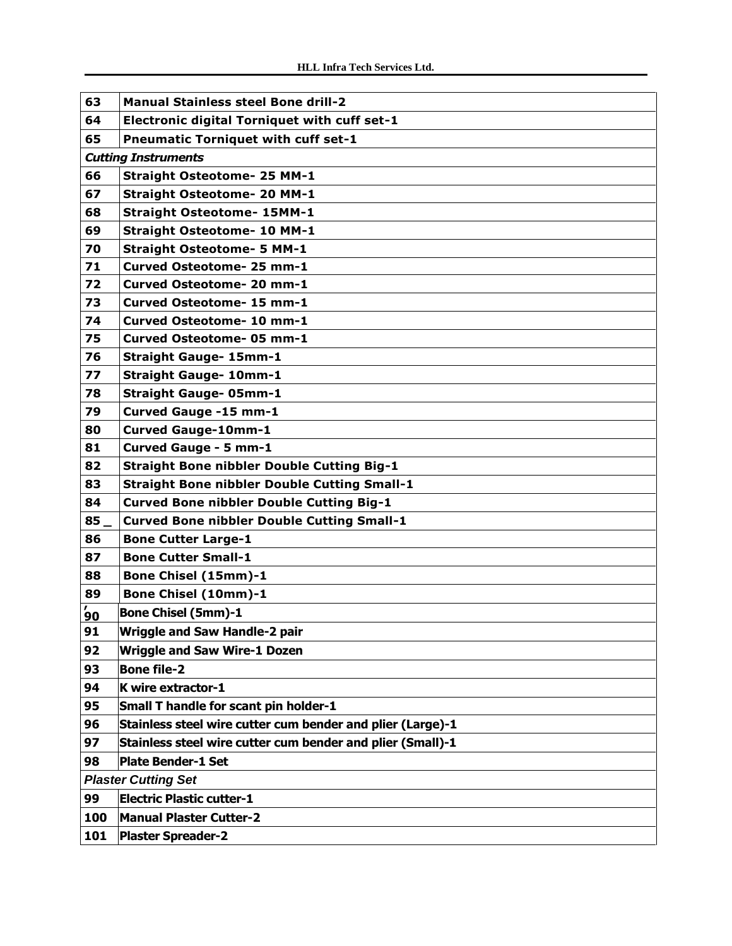| 63                         | <b>Manual Stainless steel Bone drill-2</b>                 |  |
|----------------------------|------------------------------------------------------------|--|
| 64                         | <b>Electronic digital Torniquet with cuff set-1</b>        |  |
| 65                         | <b>Pneumatic Torniquet with cuff set-1</b>                 |  |
|                            | <b>Cutting Instruments</b>                                 |  |
| 66                         | <b>Straight Osteotome- 25 MM-1</b>                         |  |
| 67                         | <b>Straight Osteotome- 20 MM-1</b>                         |  |
| 68                         | <b>Straight Osteotome- 15MM-1</b>                          |  |
| 69                         | <b>Straight Osteotome- 10 MM-1</b>                         |  |
| 70                         | <b>Straight Osteotome- 5 MM-1</b>                          |  |
| 71                         | Curved Osteotome- 25 mm-1                                  |  |
| 72                         | Curved Osteotome- 20 mm-1                                  |  |
| 73                         | Curved Osteotome- 15 mm-1                                  |  |
| 74                         | <b>Curved Osteotome- 10 mm-1</b>                           |  |
| 75                         | Curved Osteotome- 05 mm-1                                  |  |
| 76                         | <b>Straight Gauge- 15mm-1</b>                              |  |
| 77                         | <b>Straight Gauge- 10mm-1</b>                              |  |
| 78                         | <b>Straight Gauge- 05mm-1</b>                              |  |
| 79                         | Curved Gauge -15 mm-1                                      |  |
| 80                         | <b>Curved Gauge-10mm-1</b>                                 |  |
| 81                         | Curved Gauge - 5 mm-1                                      |  |
| 82                         | <b>Straight Bone nibbler Double Cutting Big-1</b>          |  |
| 83                         | <b>Straight Bone nibbler Double Cutting Small-1</b>        |  |
| 84                         | <b>Curved Bone nibbler Double Cutting Big-1</b>            |  |
| 85                         | <b>Curved Bone nibbler Double Cutting Small-1</b>          |  |
| 86                         | <b>Bone Cutter Large-1</b>                                 |  |
| 87                         | <b>Bone Cutter Small-1</b>                                 |  |
| 88                         | Bone Chisel (15mm)-1                                       |  |
| 89                         | <b>Bone Chisel (10mm)-1</b>                                |  |
| $\frac{7}{90}$             | <b>Bone Chisel (5mm)-1</b>                                 |  |
| 91                         | <b>Wriggle and Saw Handle-2 pair</b>                       |  |
| 92                         | <b>Wriggle and Saw Wire-1 Dozen</b>                        |  |
| 93                         | <b>Bone file-2</b>                                         |  |
| 94                         | K wire extractor-1                                         |  |
| 95                         | Small T handle for scant pin holder-1                      |  |
| 96                         | Stainless steel wire cutter cum bender and plier (Large)-1 |  |
| 97                         | Stainless steel wire cutter cum bender and plier (Small)-1 |  |
| 98                         | Plate Bender-1 Set                                         |  |
| <b>Plaster Cutting Set</b> |                                                            |  |
| 99                         | <b>Electric Plastic cutter-1</b>                           |  |
| 100                        | <b>Manual Plaster Cutter-2</b>                             |  |
| 101                        | <b>Plaster Spreader-2</b>                                  |  |